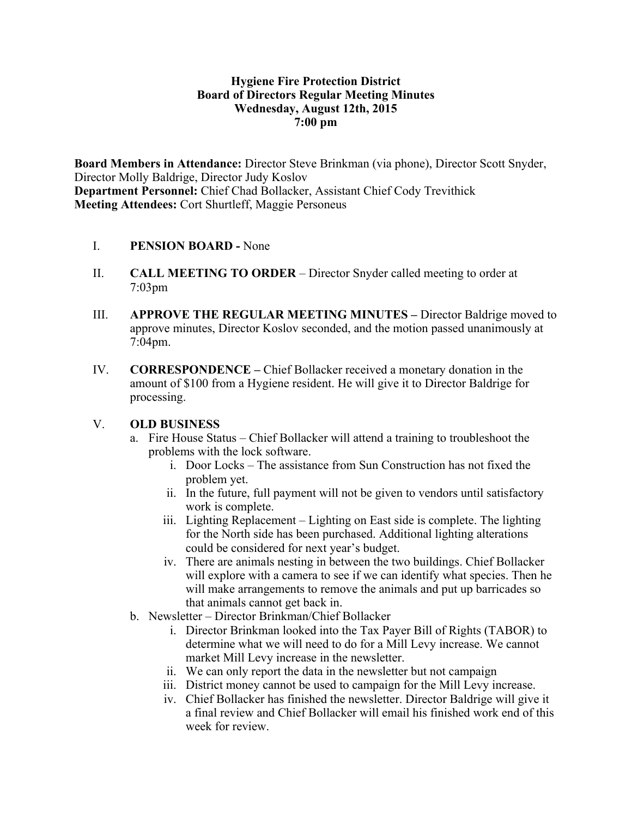#### **Hygiene Fire Protection District Board of Directors Regular Meeting Minutes Wednesday, August 12th, 2015 7:00 pm**

**Board Members in Attendance:** Director Steve Brinkman (via phone), Director Scott Snyder, Director Molly Baldrige, Director Judy Koslov **Department Personnel:** Chief Chad Bollacker, Assistant Chief Cody Trevithick **Meeting Attendees:** Cort Shurtleff, Maggie Personeus

#### I. **PENSION BOARD -** None

- II. **CALL MEETING TO ORDER** Director Snyder called meeting to order at 7:03pm
- III. **APPROVE THE REGULAR MEETING MINUTES –** Director Baldrige moved to approve minutes, Director Koslov seconded, and the motion passed unanimously at 7:04pm.
- IV. **CORRESPONDENCE –** Chief Bollacker received a monetary donation in the amount of \$100 from a Hygiene resident. He will give it to Director Baldrige for processing.

#### V. **OLD BUSINESS**

- a. Fire House Status Chief Bollacker will attend a training to troubleshoot the problems with the lock software.
	- i. Door Locks The assistance from Sun Construction has not fixed the problem yet.
	- ii. In the future, full payment will not be given to vendors until satisfactory work is complete.
	- iii. Lighting Replacement Lighting on East side is complete. The lighting for the North side has been purchased. Additional lighting alterations could be considered for next year's budget.
	- iv. There are animals nesting in between the two buildings. Chief Bollacker will explore with a camera to see if we can identify what species. Then he will make arrangements to remove the animals and put up barricades so that animals cannot get back in.
- b. Newsletter Director Brinkman/Chief Bollacker
	- i. Director Brinkman looked into the Tax Payer Bill of Rights (TABOR) to determine what we will need to do for a Mill Levy increase. We cannot market Mill Levy increase in the newsletter.
	- ii. We can only report the data in the newsletter but not campaign
	- iii. District money cannot be used to campaign for the Mill Levy increase.
	- iv. Chief Bollacker has finished the newsletter. Director Baldrige will give it a final review and Chief Bollacker will email his finished work end of this week for review.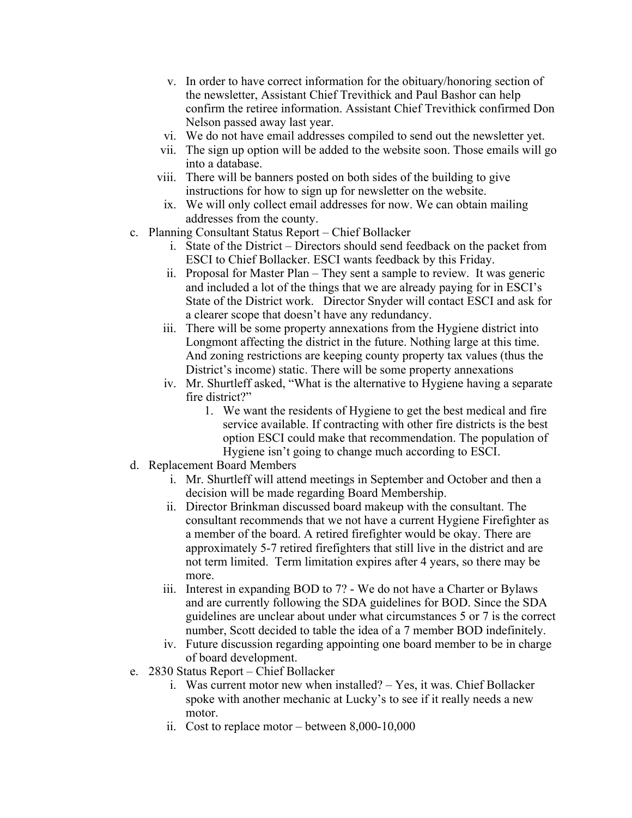- v. In order to have correct information for the obituary/honoring section of the newsletter, Assistant Chief Trevithick and Paul Bashor can help confirm the retiree information. Assistant Chief Trevithick confirmed Don Nelson passed away last year.
- vi. We do not have email addresses compiled to send out the newsletter yet.
- vii. The sign up option will be added to the website soon. Those emails will go into a database.
- viii. There will be banners posted on both sides of the building to give instructions for how to sign up for newsletter on the website.
- ix. We will only collect email addresses for now. We can obtain mailing addresses from the county.
- c. Planning Consultant Status Report Chief Bollacker
	- i. State of the District Directors should send feedback on the packet from ESCI to Chief Bollacker. ESCI wants feedback by this Friday.
	- ii. Proposal for Master Plan They sent a sample to review. It was generic and included a lot of the things that we are already paying for in ESCI's State of the District work. Director Snyder will contact ESCI and ask for a clearer scope that doesn't have any redundancy.
	- iii. There will be some property annexations from the Hygiene district into Longmont affecting the district in the future. Nothing large at this time. And zoning restrictions are keeping county property tax values (thus the District's income) static. There will be some property annexations
	- iv. Mr. Shurtleff asked, "What is the alternative to Hygiene having a separate fire district?"
		- 1. We want the residents of Hygiene to get the best medical and fire service available. If contracting with other fire districts is the best option ESCI could make that recommendation. The population of Hygiene isn't going to change much according to ESCI.
- d. Replacement Board Members
	- i. Mr. Shurtleff will attend meetings in September and October and then a decision will be made regarding Board Membership.
	- ii. Director Brinkman discussed board makeup with the consultant. The consultant recommends that we not have a current Hygiene Firefighter as a member of the board. A retired firefighter would be okay. There are approximately 5-7 retired firefighters that still live in the district and are not term limited. Term limitation expires after 4 years, so there may be more.
	- iii. Interest in expanding BOD to 7? We do not have a Charter or Bylaws and are currently following the SDA guidelines for BOD. Since the SDA guidelines are unclear about under what circumstances 5 or 7 is the correct number, Scott decided to table the idea of a 7 member BOD indefinitely.
	- iv. Future discussion regarding appointing one board member to be in charge of board development.
- e. 2830 Status Report Chief Bollacker
	- i. Was current motor new when installed? Yes, it was. Chief Bollacker spoke with another mechanic at Lucky's to see if it really needs a new motor.
	- ii. Cost to replace motor between 8,000-10,000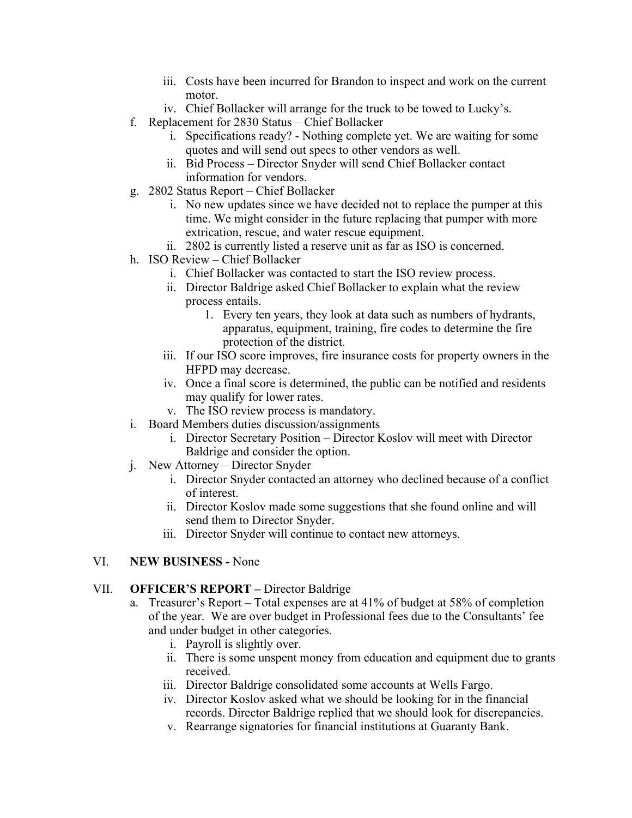- iii. Costs have been incurred for Brandon to inspect and work on the current motor.
- iv. Chief Bollacker will arrange for the truck to be towed to Lucky's.
- f. Replacement for 2830 Status Chief Bollacker
	- i. Specifications ready? Nothing complete yet. We are waiting for some quotes and will send out specs to other vendors as well.
	- ii. Bid Process Director Snyder will send Chief Bollacker contact information for vendors.
- g. 2802 Status Report Chief Bollacker
	- i. No new updates since we have decided not to replace the pumper at this time. We might consider in the future replacing that pumper with more extrication, rescue, and water rescue equipment.
	- ii. 2802 is currently listed a reserve unit as far as ISO is concerned.
- h. ISO Review Chief Bollacker
	- i. Chief Bollacker was contacted to start the ISO review process.
	- ii. Director Baldrige asked Chief Bollacker to explain what the review process entails.
		- 1. Every ten years, they look at data such as numbers of hydrants, apparatus, equipment, training, fire codes to determine the fire protection of the district.
	- iii. If our ISO score improves, fire insurance costs for property owners in the HFPD may decrease.
	- iv. Once a final score is determined, the public can be notified and residents may qualify for lower rates.
	- v. The ISO review process is mandatory.
- i. Board Members duties discussion/assignments
	- i. Director Secretary Position Director Koslov will meet with Director Baldrige and consider the option.
- j. New Attorney Director Snyder
	- i. Director Snyder contacted an attorney who declined because of a conflict of interest.
	- ii. Director Koslov made some suggestions that she found online and will send them to Director Snyder.
	- iii. Director Snyder will continue to contact new attorneys.

### VI. **NEW BUSINESS -** None

#### VII. **OFFICER'S REPORT –** Director Baldrige

- a. Treasurer's Report Total expenses are at 41% of budget at 58% of completion of the year. We are over budget in Professional fees due to the Consultants' fee and under budget in other categories.
	- i. Payroll is slightly over.
	- ii. There is some unspent money from education and equipment due to grants received.
	- iii. Director Baldrige consolidated some accounts at Wells Fargo.
	- iv. Director Koslov asked what we should be looking for in the financial records. Director Baldrige replied that we should look for discrepancies.
	- v. Rearrange signatories for financial institutions at Guaranty Bank.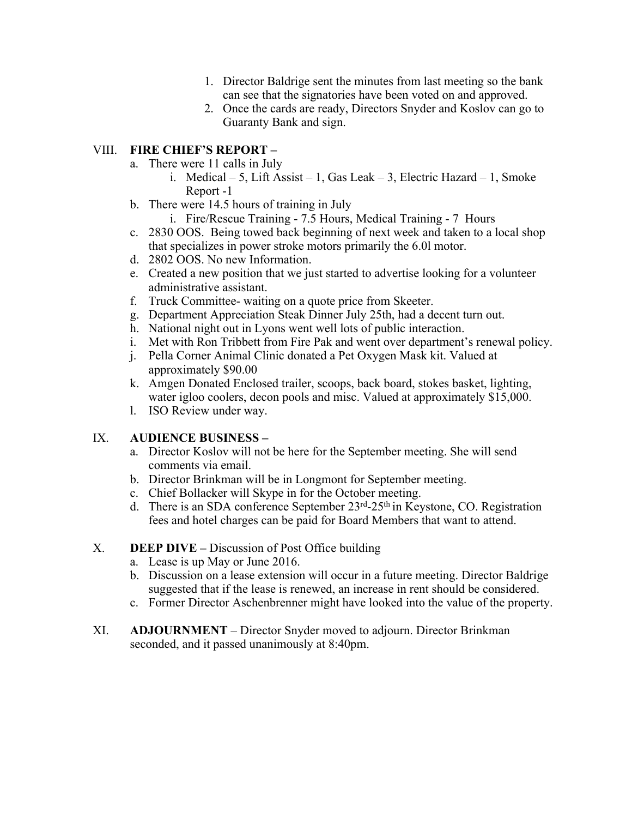- 1. Director Baldrige sent the minutes from last meeting so the bank can see that the signatories have been voted on and approved.
- 2. Once the cards are ready, Directors Snyder and Koslov can go to Guaranty Bank and sign.

## VIII. **FIRE CHIEF'S REPORT –**

- a. There were 11 calls in July
	- i. Medical 5, Lift Assist 1, Gas Leak 3, Electric Hazard 1, Smoke Report -1
- b. There were 14.5 hours of training in July
	- i. Fire/Rescue Training 7.5 Hours, Medical Training 7 Hours
- c. 2830 OOS. Being towed back beginning of next week and taken to a local shop that specializes in power stroke motors primarily the 6.0l motor.
- d. 2802 OOS. No new Information.
- e. Created a new position that we just started to advertise looking for a volunteer administrative assistant.
- f. Truck Committee- waiting on a quote price from Skeeter.
- g. Department Appreciation Steak Dinner July 25th, had a decent turn out.
- h. National night out in Lyons went well lots of public interaction.
- i. Met with Ron Tribbett from Fire Pak and went over department's renewal policy.
- j. Pella Corner Animal Clinic donated a Pet Oxygen Mask kit. Valued at approximately \$90.00
- k. Amgen Donated Enclosed trailer, scoops, back board, stokes basket, lighting, water igloo coolers, decon pools and misc. Valued at approximately \$15,000.
- l. ISO Review under way.

# IX. **AUDIENCE BUSINESS –**

- a. Director Koslov will not be here for the September meeting. She will send comments via email.
- b. Director Brinkman will be in Longmont for September meeting.
- c. Chief Bollacker will Skype in for the October meeting.
- d. There is an SDA conference September  $23<sup>rd</sup> 25<sup>th</sup>$  in Keystone, CO. Registration fees and hotel charges can be paid for Board Members that want to attend.

# X. **DEEP DIVE –** Discussion of Post Office building

- a. Lease is up May or June 2016.
- b. Discussion on a lease extension will occur in a future meeting. Director Baldrige suggested that if the lease is renewed, an increase in rent should be considered.
- c. Former Director Aschenbrenner might have looked into the value of the property.
- XI. **ADJOURNMENT** Director Snyder moved to adjourn. Director Brinkman seconded, and it passed unanimously at 8:40pm.